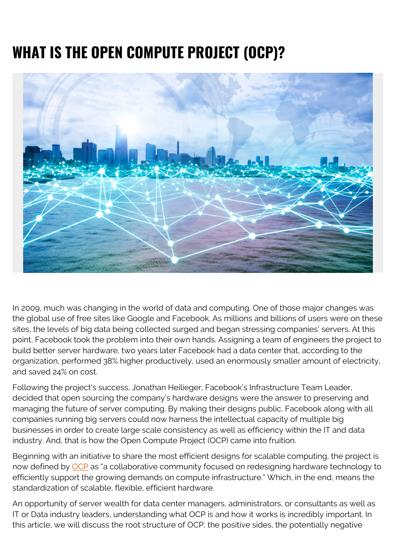# **WHAT IS THE OPEN COMPUTE PROJECT (OCP)?**



In 2009, much was changing in the world of data and computing. One of those major changes was the global use of free sites like Google and Facebook. As millions and billions of users were on these sites, the levels of big data being collected surged and began stressing companies' servers. At this point, Facebook took the problem into their own hands. Assigning a team of engineers the project to build better server hardware, two years later Facebook had a data center that, according to the organization, performed 38% higher productively, used an enormously smaller amount of electricity, and saved 24% on cost.

Following the project's success, Jonathan Heilieger, Facebook's Infrastructure Team Leader, decided that open sourcing the company's hardware designs were the answer to preserving and managing the future of server computing. By making their designs public, Facebook along with all companies running big servers could now harness the intellectual capacity of multiple big businesses in order to create large scale consistency as well as efficiency within the IT and data industry. And, that is how the Open Compute Project (OCP) came into fruition.

Beginning with an initiative to share the most efficient designs for scalable computing, the project is now defined by [OCP](https://www.opencompute.org/about) as "a collaborative community focused on redesigning hardware technology to efficiently support the growing demands on compute infrastructure." Which, in the end, means the standardization of scalable, flexible, efficient hardware.

An opportunity of server wealth for data center managers, administrators, or consultants as well as IT or Data industry leaders, understanding what OCP is and how it works is incredibly important. In this article, we will discuss the root structure of OCP, the positive sides, the potentially negative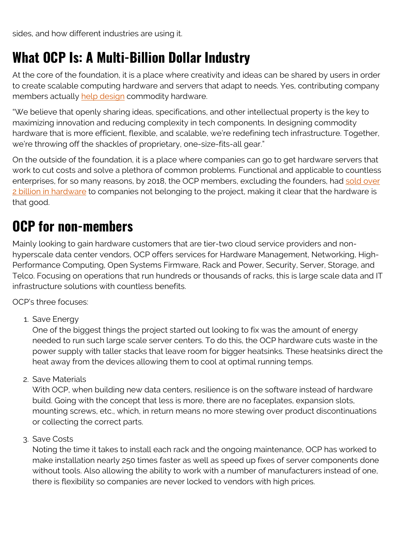sides, and how different industries are using it.

## **What OCP Is: A Multi-Billion Dollar Industry**

At the core of the foundation, it is a place where creativity and ideas can be shared by users in order to create scalable computing hardware and servers that adapt to needs. Yes, contributing company members actually [help design](https://www.opencompute.org/products) commodity hardware.

"We believe that openly sharing ideas, specifications, and other intellectual property is the key to maximizing innovation and reducing complexity in tech components. In designing commodity hardware that is more efficient, flexible, and scalable, we're redefining tech infrastructure. Together, we're throwing off the shackles of proprietary, one-size-fits-all gear."

On the outside of the foundation, it is a place where companies can go to get hardware servers that work to cut costs and solve a plethora of common problems. Functional and applicable to countless enterprises, for so many reasons, by 2018, the OCP members, excluding the founders, had [sold over](https://blog.mainframe.dev/2018/08/open-datacenter-hardware-what-is-ocp.html) [2 billion in hardware](https://blog.mainframe.dev/2018/08/open-datacenter-hardware-what-is-ocp.html) to companies not belonging to the project, making it clear that the hardware is that good.

### **OCP for non-members**

Mainly looking to gain hardware customers that are tier-two cloud service providers and nonhyperscale data center vendors, OCP offers services for Hardware Management, Networking, High-Performance Computing, Open Systems Firmware, Rack and Power, Security, Server, Storage, and Telco. Focusing on operations that run hundreds or thousands of racks, this is large scale data and IT infrastructure solutions with countless benefits.

OCP's three focuses:

1. Save Energy

One of the biggest things the project started out looking to fix was the amount of energy needed to run such large scale server centers. To do this, the OCP hardware cuts waste in the power supply with taller stacks that leave room for bigger heatsinks. These heatsinks direct the heat away from the devices allowing them to cool at optimal running temps.

2. Save Materials

With OCP, when building new data centers, resilience is on the software instead of hardware build. Going with the concept that less is more, there are no faceplates, expansion slots, mounting screws, etc., which, in return means no more stewing over product discontinuations or collecting the correct parts.

3. Save Costs

Noting the time it takes to install each rack and the ongoing maintenance, OCP has worked to make installation nearly 250 times faster as well as speed up fixes of server components done without tools. Also allowing the ability to work with a number of manufacturers instead of one, there is flexibility so companies are never locked to vendors with high prices.